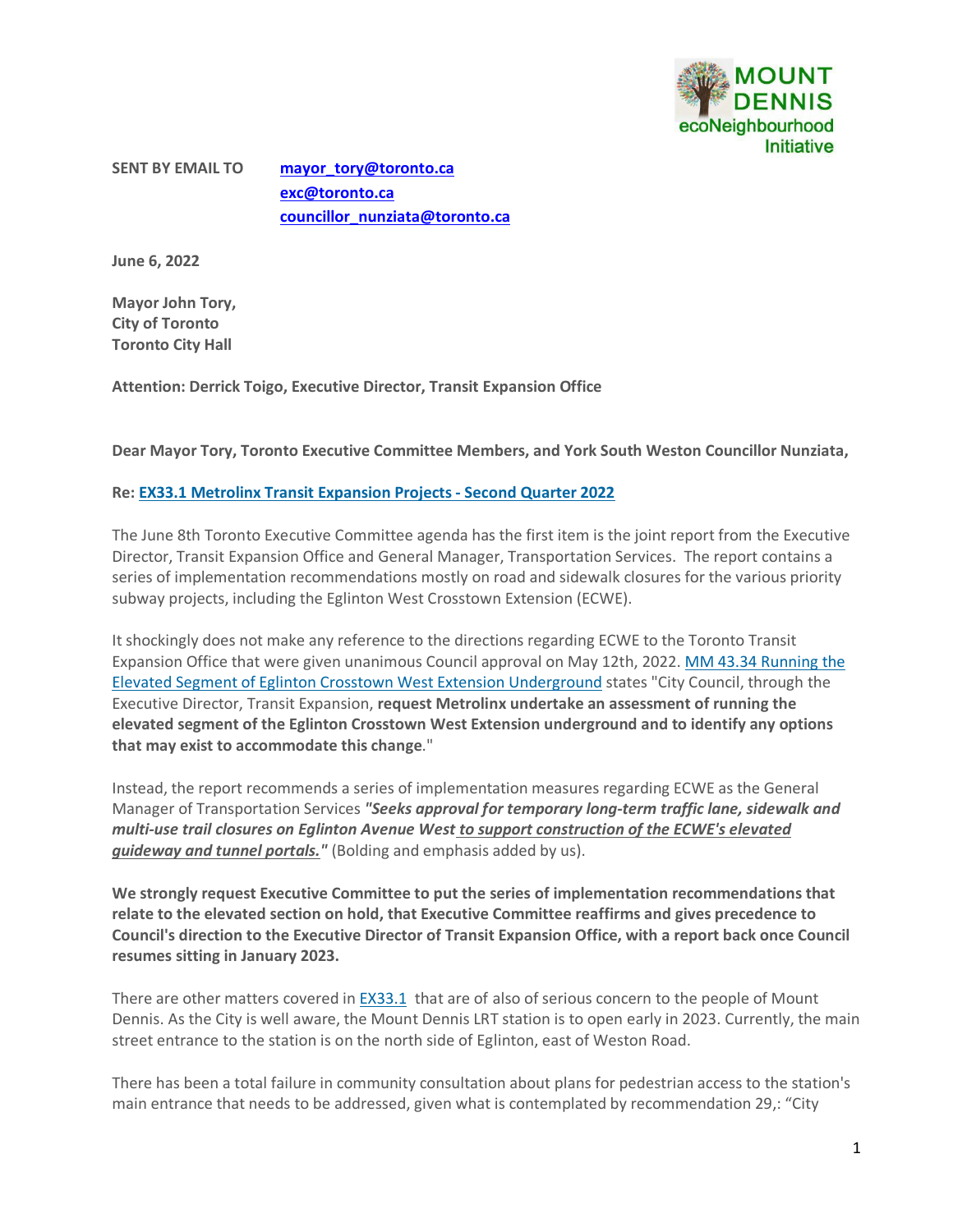

**SENT BY EMAIL TO [mayor\\_tory@toronto.ca](mailto:mayor_tory@toronto.ca) [exc@toronto.ca](mailto:exc@toronto.ca) [councillor\\_nunziata@toronto.ca](mailto:councillor_nunziata@toronto.ca)**

**June 6, 2022**

**Mayor John Tory, City of Toronto Toronto City Hall**

**Attention: Derrick Toigo, Executive Director, Transit Expansion Office**

**Dear Mayor Tory, Toronto Executive Committee Members, and York South Weston Councillor Nunziata,**

## **Re: [EX33.1 Metrolinx Transit Expansion Projects -](http://app.toronto.ca/tmmis/viewAgendaItemHistory.do?item=2022.EX33.1) Second Quarter 2022**

The June 8th Toronto Executive Committee agenda has the first item is the joint report from the Executive Director, Transit Expansion Office and General Manager, Transportation Services. The report contains a series of implementation recommendations mostly on road and sidewalk closures for the various priority subway projects, including the Eglinton West Crosstown Extension (ECWE).

It shockingly does not make any reference to the directions regarding ECWE to the Toronto Transit Expansion Office that were given unanimous Council approval on May 12th, 2022. [MM 43.34 Running the](http://app.toronto.ca/tmmis/viewAgendaItemHistory.do?item=2022.MM43.34)  [Elevated Segment of Eglinton Crosstown West Extension Underground](http://app.toronto.ca/tmmis/viewAgendaItemHistory.do?item=2022.MM43.34) states "City Council, through the Executive Director, Transit Expansion, **request Metrolinx undertake an assessment of running the elevated segment of the Eglinton Crosstown West Extension underground and to identify any options that may exist to accommodate this change**."

Instead, the report recommends a series of implementation measures regarding ECWE as the General Manager of Transportation Services *"Seeks approval for temporary long-term traffic lane, sidewalk and multi-use trail closures on Eglinton Avenue West to support construction of the ECWE's elevated guideway and tunnel portals."* (Bolding and emphasis added by us).

**We strongly request Executive Committee to put the series of implementation recommendations that relate to the elevated section on hold, that Executive Committee reaffirms and gives precedence to Council's direction to the Executive Director of Transit Expansion Office, with a report back once Council resumes sitting in January 2023.**

There are other matters covered in [EX33.1](http://app.toronto.ca/tmmis/viewAgendaItemHistory.do?item=2022.EX33.1) that are of also of serious concern to the people of Mount Dennis. As the City is well aware, the Mount Dennis LRT station is to open early in 2023. Currently, the main street entrance to the station is on the north side of Eglinton, east of Weston Road.

There has been a total failure in community consultation about plans for pedestrian access to the station's main entrance that needs to be addressed, given what is contemplated by recommendation 29,: "City